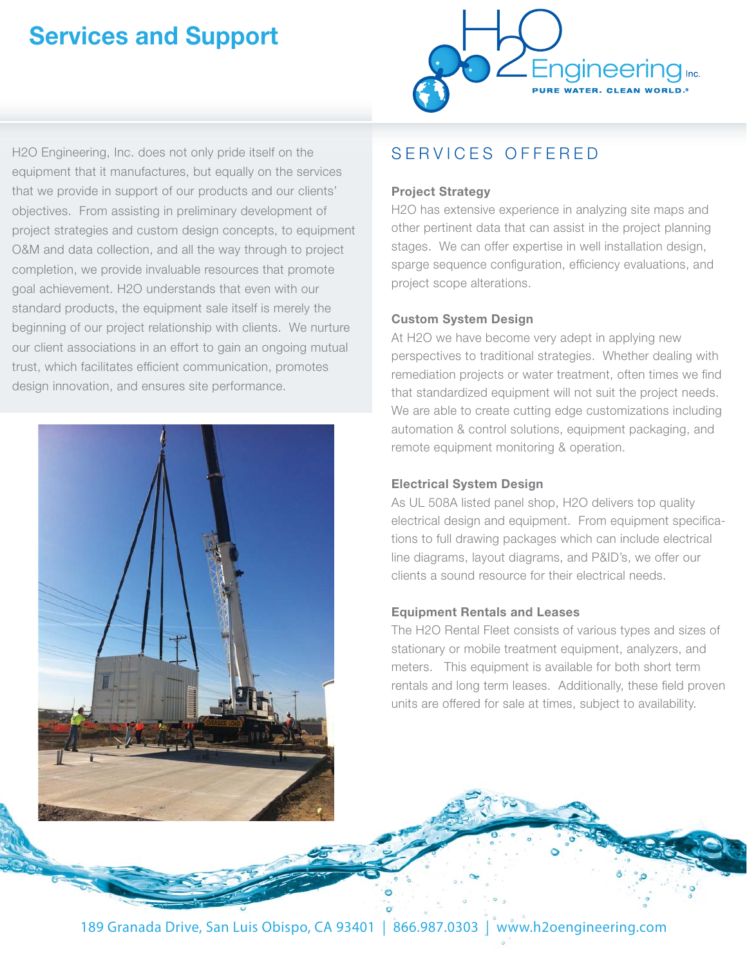# **Services and Support**



H2O Engineering, Inc. does not only pride itself on the equipment that it manufactures, but equally on the services that we provide in support of our products and our clients' objectives. From assisting in preliminary development of project strategies and custom design concepts, to equipment O&M and data collection, and all the way through to project completion, we provide invaluable resources that promote goal achievement. H2O understands that even with our standard products, the equipment sale itself is merely the beginning of our project relationship with clients. We nurture our client associations in an effort to gain an ongoing mutual trust, which facilitates efficient communication, promotes design innovation, and ensures site performance.



## SERVICES OFFERED

## **Project Strategy**

H2O has extensive experience in analyzing site maps and other pertinent data that can assist in the project planning stages. We can offer expertise in well installation design, sparge sequence configuration, efficiency evaluations, and project scope alterations.

## **Custom System Design**

At H2O we have become very adept in applying new perspectives to traditional strategies. Whether dealing with remediation projects or water treatment, often times we find that standardized equipment will not suit the project needs. We are able to create cutting edge customizations including automation & control solutions, equipment packaging, and remote equipment monitoring & operation.

## **Electrical System Design**

As UL 508A listed panel shop, H2O delivers top quality electrical design and equipment. From equipment specifications to full drawing packages which can include electrical line diagrams, layout diagrams, and P&ID's, we offer our clients a sound resource for their electrical needs.

## **Equipment Rentals and Leases**

The H2O Rental Fleet consists of various types and sizes of stationary or mobile treatment equipment, analyzers, and meters. This equipment is available for both short term rentals and long term leases. Additionally, these field proven units are offered for sale at times, subject to availability.